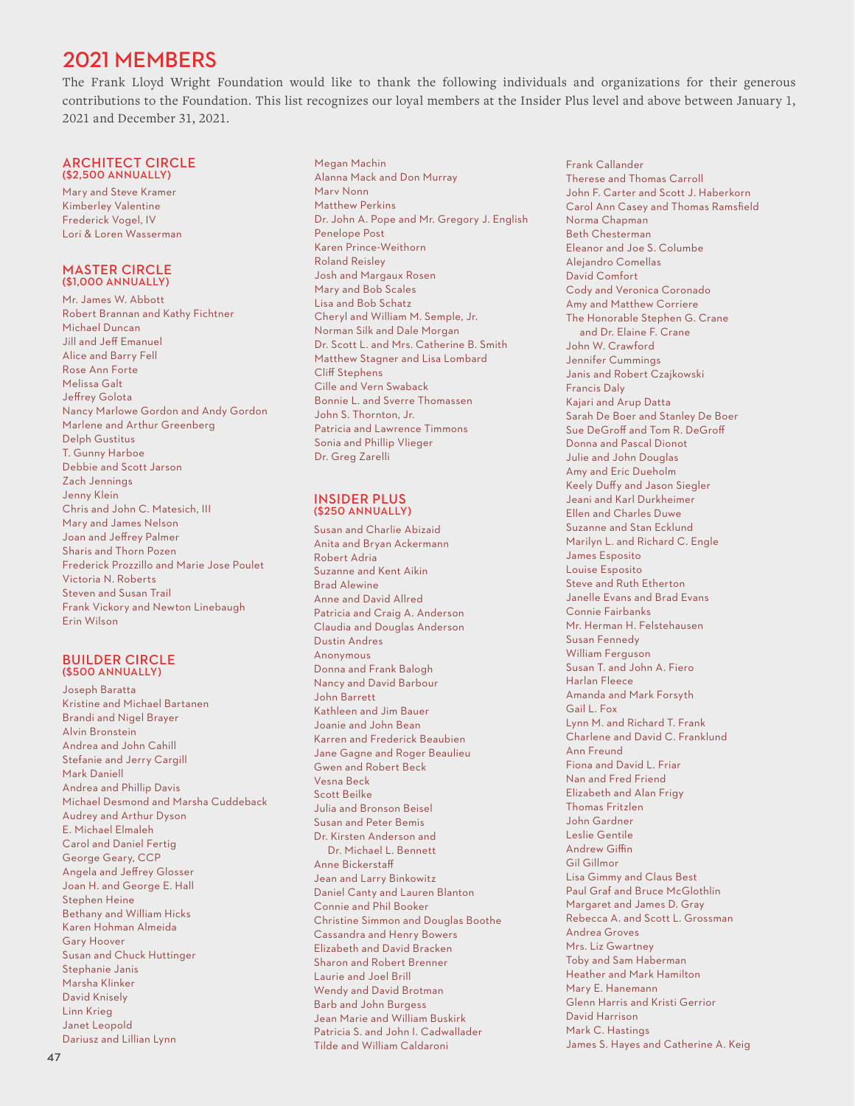# 2021 MEMBERS

The Frank Lloyd Wright Foundation would like to thank the following individuals and organizations for their generous contributions to the Foundation. This list recognizes our loyal members at the Insider Plus level and above between January 1, 2021 and December 31, 2021.

#### ARCHITECT CIRCLE (\$2,500 ANNUALLY)

Mary and Steve Kramer Kimberley Valentine Frederick Vogel, IV Lori & Loren Wasserman

## MASTER CIRCLE (\$1,000 ANNUALLY)

Mr. James W. Abbott Robert Brannan and Kathy Fichtner Michael Duncan Jill and Jeff Emanuel Alice and Barry Fell Rose Ann Forte Melissa Galt Jeffrey Golota Nancy Marlowe Gordon and Andy Gordon Marlene and Arthur Greenberg Delph Gustitus T. Gunny Harboe Debbie and Scott Jarson Zach Jennings Jenny Klein Chris and John C. Matesich, III Mary and James Nelson Joan and Jeffrey Palmer Sharis and Thorn Pozen Frederick Prozzillo and Marie Jose Poulet Victoria N. Roberts Steven and Susan Trail Frank Vickory and Newton Linebaugh Erin Wilson

## BUILDER CIRCLE (\$500 ANNUALLY)

Joseph Baratta Kristine and Michael Bartanen Brandi and Nigel Brayer Alvin Bronstein Andrea and John Cahill Stefanie and Jerry Cargill Mark Daniell Andrea and Phillip Davis Michael Desmond and Marsha Cuddeback Audrey and Arthur Dyson E. Michael Elmaleh Carol and Daniel Fertig George Geary, CCP Angela and Jeffrey Glosser Joan H. and George E. Hall Stephen Heine Bethany and William Hicks Karen Hohman Almeida Gary Hoover Susan and Chuck Huttinger Stephanie Janis Marsha Klinker David Knisely Linn Krieg Janet Leopold Dariusz and Lillian Lynn

Megan Machin Alanna Mack and Don Murray Marv Nonn Matthew Perkins Dr. John A. Pope and Mr. Gregory J. English Penelope Post Karen Prince-Weithorn Roland Reisley Josh and Margaux Rosen Mary and Bob Scales Lisa and Bob Schatz Cheryl and William M. Semple, Jr. Norman Silk and Dale Morgan Dr. Scott L. and Mrs. Catherine B. Smith Matthew Stagner and Lisa Lombard Cliff Stephens Cille and Vern Swaback Bonnie L. and Sverre Thomassen John S. Thornton, Jr. Patricia and Lawrence Timmons Sonia and Phillip Vlieger Dr. Greg Zarelli

#### INSIDER PLUS (\$250 ANNUALLY)

Susan and Charlie Abizaid Anita and Bryan Ackermann Robert Adria Suzanne and Kent Aikin Brad Alewine Anne and David Allred Patricia and Craig A. Anderson Claudia and Douglas Anderson Dustin Andres Anonymous Donna and Frank Balogh Nancy and David Barbour John Barrett Kathleen and Jim Bauer Joanie and John Bean Karren and Frederick Beaubien Jane Gagne and Roger Beaulieu Gwen and Robert Beck Vesna Beck Scott Beilke Julia and Bronson Beisel Susan and Peter Bemis Dr. Kirsten Anderson and Dr. Michael L. Bennett Anne Bickerstaff Jean and Larry Binkowitz Daniel Canty and Lauren Blanton Connie and Phil Booker Christine Simmon and Douglas Boothe Cassandra and Henry Bowers Elizabeth and David Bracken Sharon and Robert Brenner Laurie and Joel Brill Wendy and David Brotman Barb and John Burgess Jean Marie and William Buskirk Patricia S. and John I. Cadwallader Tilde and William Caldaroni

Frank Callander Therese and Thomas Carroll John F. Carter and Scott J. Haberkorn Carol Ann Casey and Thomas Ramsfield Norma Chapman Beth Chesterman Eleanor and Joe S. Columbe Alejandro Comellas David Comfort Cody and Veronica Coronado Amy and Matthew Corriere The Honorable Stephen G. Crane and Dr. Elaine F. Crane John W. Crawford Jennifer Cummings Janis and Robert Czajkowski Francis Daly Kajari and Arup Datta Sarah De Boer and Stanley De Boer Sue DeGroff and Tom R. DeGroff Donna and Pascal Dionot Julie and John Douglas Amy and Eric Dueholm Keely Duffy and Jason Siegler Jeani and Karl Durkheimer Ellen and Charles Duwe Suzanne and Stan Ecklund Marilyn L. and Richard C. Engle James Esposito Louise Esposito Steve and Ruth Etherton Janelle Evans and Brad Evans Connie Fairbanks Mr. Herman H. Felstehausen Susan Fennedy William Ferguson Susan T. and John A. Fiero Harlan Fleece Amanda and Mark Forsyth Gail L. Fox Lynn M. and Richard T. Frank Charlene and David C. Franklund Ann Freund Fiona and David L. Friar Nan and Fred Friend Elizabeth and Alan Frigy Thomas Fritzlen John Gardner Leslie Gentile Andrew Giffin Gil Gillmor Lisa Gimmy and Claus Best Paul Graf and Bruce McGlothlin Margaret and James D. Gray Rebecca A. and Scott L. Grossman Andrea Groves Mrs. Liz Gwartney Toby and Sam Haberman Heather and Mark Hamilton Mary E. Hanemann Glenn Harris and Kristi Gerrior David Harrison Mark C. Hastings James S. Hayes and Catherine A. Keig